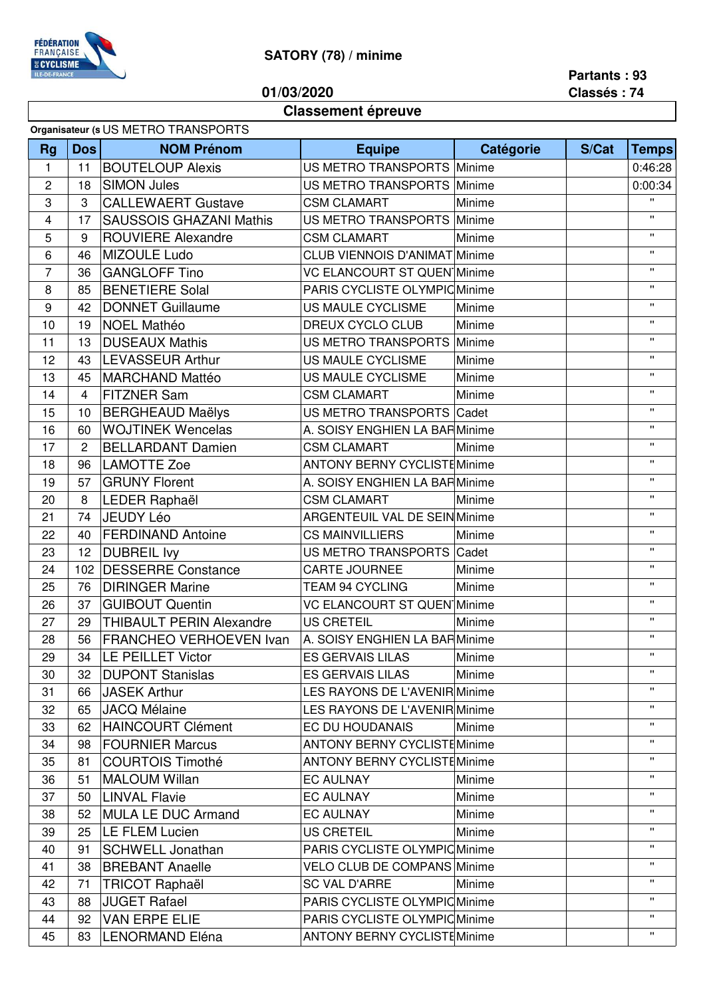

## **SATORY (78) / minime**

**01/03/2020**

**Partants : 93 Classés : 74**

## **Classement épreuve**

| Organisateur (s US METRO TRANSPORTS |                |                                 |                                      |           |       |              |  |  |
|-------------------------------------|----------------|---------------------------------|--------------------------------------|-----------|-------|--------------|--|--|
| <b>Rg</b>                           | <b>Dos</b>     | <b>NOM Prénom</b>               | <b>Equipe</b>                        | Catégorie | S/Cat | <b>Temps</b> |  |  |
| 1                                   | 11             | <b>BOUTELOUP Alexis</b>         | US METRO TRANSPORTS Minime           |           |       | 0:46:28      |  |  |
| 2                                   | 18             | <b>SIMON Jules</b>              | US METRO TRANSPORTS                  | Minime    |       | 0:00:34      |  |  |
| 3                                   | 3              | <b>CALLEWAERT Gustave</b>       | <b>CSM CLAMART</b>                   | Minime    |       | $\mathbf{H}$ |  |  |
| 4                                   | 17             | <b>SAUSSOIS GHAZANI Mathis</b>  | US METRO TRANSPORTS                  | Minime    |       | Ħ.           |  |  |
| 5                                   | 9              | <b>ROUVIERE Alexandre</b>       | <b>CSM CLAMART</b>                   | Minime    |       | $\mathbf{H}$ |  |  |
| 6                                   | 46             | MIZOULE Ludo                    | <b>CLUB VIENNOIS D'ANIMAT Minime</b> |           |       | $\mathbf{H}$ |  |  |
| $\overline{7}$                      | 36             | <b>GANGLOFF Tino</b>            | <b>VC ELANCOURT ST QUEN Minime</b>   |           |       | $\mathbf{H}$ |  |  |
| 8                                   | 85             | <b>BENETIERE Solal</b>          | PARIS CYCLISTE OLYMPIC Minime        |           |       | $\mathbf{H}$ |  |  |
| $\boldsymbol{9}$                    | 42             | <b>DONNET Guillaume</b>         | US MAULE CYCLISME                    | Minime    |       | $\mathbf{H}$ |  |  |
| 10                                  | 19             | <b>NOEL Mathéo</b>              | DREUX CYCLO CLUB                     | Minime    |       | $\mathbf{H}$ |  |  |
| 11                                  | 13             | <b>DUSEAUX Mathis</b>           | US METRO TRANSPORTS                  | Minime    |       | $\mathbf{H}$ |  |  |
| 12                                  | 43             | <b>LEVASSEUR Arthur</b>         | US MAULE CYCLISME                    | Minime    |       | $\mathbf{H}$ |  |  |
| 13                                  | 45             | <b>MARCHAND Mattéo</b>          | US MAULE CYCLISME                    | Minime    |       | π.           |  |  |
| 14                                  | $\overline{4}$ | <b>FITZNER Sam</b>              | <b>CSM CLAMART</b>                   | Minime    |       | π.           |  |  |
| 15                                  | 10             | <b>BERGHEAUD Maëlys</b>         | US METRO TRANSPORTS Cadet            |           |       | Ħ.           |  |  |
| 16                                  | 60             | <b>WOJTINEK Wencelas</b>        | A. SOISY ENGHIEN LA BARMinime        |           |       | $\mathbf{H}$ |  |  |
| 17                                  | 2              | <b>BELLARDANT Damien</b>        | <b>CSM CLAMART</b>                   | Minime    |       | Ħ.           |  |  |
| 18                                  | 96             | <b>LAMOTTE Zoe</b>              | <b>ANTONY BERNY CYCLISTEMinime</b>   |           |       | $\mathbf{H}$ |  |  |
| 19                                  | 57             | <b>GRUNY Florent</b>            | A. SOISY ENGHIEN LA BARMinime        |           |       | π.           |  |  |
| 20                                  | 8              | LEDER Raphaël                   | <b>CSM CLAMART</b>                   | Minime    |       | $\mathbf{H}$ |  |  |
| 21                                  | 74             | <b>JEUDY Léo</b>                | <b>ARGENTEUIL VAL DE SEIN Minime</b> |           |       | $\mathbf{H}$ |  |  |
| 22                                  | 40             | <b>FERDINAND Antoine</b>        | <b>CS MAINVILLIERS</b>               | Minime    |       | $\mathbf{H}$ |  |  |
| 23                                  | 12             | <b>DUBREIL Ivy</b>              | US METRO TRANSPORTS Cadet            |           |       | $\mathbf{H}$ |  |  |
| 24                                  | 102            | <b>DESSERRE Constance</b>       | CARTE JOURNEE                        | Minime    |       | $\mathbf{H}$ |  |  |
| 25                                  | 76             | <b>DIRINGER Marine</b>          | <b>TEAM 94 CYCLING</b>               | Minime    |       | Ħ.           |  |  |
| 26                                  | 37             | <b>GUIBOUT Quentin</b>          | <b>VC ELANCOURT ST QUEN Minime</b>   |           |       | π.           |  |  |
| 27                                  | 29             | <b>THIBAULT PERIN Alexandre</b> | <b>US CRETEIL</b>                    | Minime    |       | $\mathbf{H}$ |  |  |
| 28                                  | 56             | FRANCHEO VERHOEVEN Ivan         | A. SOISY ENGHIEN LA BARMinime        |           |       | $\mathbf{H}$ |  |  |
| 29                                  | 34             | LE PEILLET Victor               | ES GERVAIS LILAS                     | Minime    |       | $\mathbf{H}$ |  |  |
| 30                                  | 32             | <b>DUPONT Stanislas</b>         | <b>ES GERVAIS LILAS</b>              | Minime    |       | π.           |  |  |
| 31                                  | 66             | <b>JASEK Arthur</b>             | LES RAYONS DE L'AVENIR Minime        |           |       | $\mathbf{H}$ |  |  |
| 32                                  | 65             | <b>JACQ Mélaine</b>             | <b>LES RAYONS DE L'AVENIR Minime</b> |           |       | π.           |  |  |
| 33                                  | 62             | <b>HAINCOURT Clément</b>        | EC DU HOUDANAIS                      | Minime    |       | $\mathbf{H}$ |  |  |
| 34                                  | 98             | <b>FOURNIER Marcus</b>          | <b>ANTONY BERNY CYCLISTEMinime</b>   |           |       | $\mathbf{H}$ |  |  |
| 35                                  | 81             | <b>COURTOIS Timothé</b>         | <b>ANTONY BERNY CYCLISTEMinime</b>   |           |       | $\mathbf{H}$ |  |  |
| 36                                  | 51             | <b>MALOUM Willan</b>            | <b>EC AULNAY</b>                     | Minime    |       | π.           |  |  |
| 37                                  | 50             | <b>LINVAL Flavie</b>            | <b>EC AULNAY</b>                     | Minime    |       | π.           |  |  |
| 38                                  | 52             | <b>MULA LE DUC Armand</b>       | <b>EC AULNAY</b>                     | Minime    |       | π.           |  |  |
| 39                                  | 25             | LE FLEM Lucien                  | <b>US CRETEIL</b>                    | Minime    |       | Ħ.           |  |  |
| 40                                  | 91             | <b>SCHWELL Jonathan</b>         | PARIS CYCLISTE OLYMPIC Minime        |           |       | π.           |  |  |
| 41                                  | 38             | <b>BREBANT Anaelle</b>          | <b>VELO CLUB DE COMPANS Minime</b>   |           |       |              |  |  |
| 42                                  | 71             | <b>TRICOT Raphaël</b>           | <b>SC VAL D'ARRE</b>                 | Minime    |       | Ħ.           |  |  |
| 43                                  | 88             | <b>JUGET Rafael</b>             | PARIS CYCLISTE OLYMPIC Minime        |           |       | π.           |  |  |
| 44                                  | 92             | <b>VAN ERPE ELIE</b>            | PARIS CYCLISTE OLYMPIC Minime        |           |       | $\mathbf{H}$ |  |  |
| 45                                  | 83             | <b>LENORMAND Eléna</b>          | <b>ANTONY BERNY CYCLISTEMinime</b>   |           |       | Ħ.           |  |  |